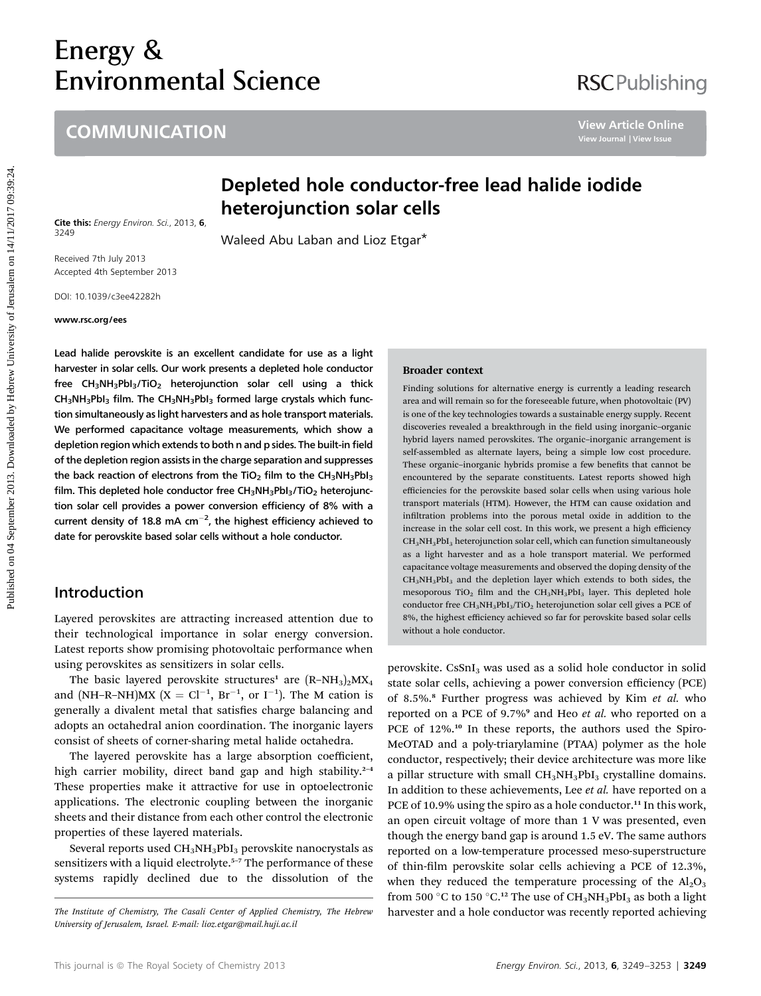# Energy &<br>Environmental Science Environmental Science

# **COMMUNICATION**

# **RSCPublishing**

# Depleted hole conductor-free lead halide iodide heterojunction solar cells

Cite this: Energy Environ. Sci., 2013, 6, 3249

Waleed Abu Laban and Lioz Etgar\*

Received 7th July 2013 Accepted 4th September 2013

DOI: 10.1039/c3ee42282h

#### www.rsc.org/ees

Lead halide perovskite is an excellent candidate for use as a light harvester in solar cells. Our work presents a depleted hole conductor free  $CH_3NH_3PbI_3/TiO_2$  heterojunction solar cell using a thick  $CH_3NH_3PbI_3$  film. The  $CH_3NH_3PbI_3$  formed large crystals which function simultaneously as light harvesters and as hole transport materials. We performed capacitance voltage measurements, which show a depletion region which extends to both n and p sides. The built-in field of the depletion region assists in the charge separation and suppresses the back reaction of electrons from the TiO<sub>2</sub> film to the CH<sub>3</sub>NH<sub>3</sub>PbI<sub>3</sub> film. This depleted hole conductor free  $CH_3NH_3PbI_3/TiO_2$  heterojunction solar cell provides a power conversion efficiency of 8% with a current density of 18.8 mA cm $^{-2}$ , the highest efficiency achieved to date for perovskite based solar cells without a hole conductor.

# Introduction

Layered perovskites are attracting increased attention due to their technological importance in solar energy conversion. Latest reports show promising photovoltaic performance when using perovskites as sensitizers in solar cells.

The basic layered perovskite structures<sup>1</sup> are  $(R-NH_3)_2MX_4$ and (NH–R–NH)MX ( $X = Cl^{-1}$ ,  $Br^{-1}$ , or  $I^{-1}$ ). The M cation is generally a divalent metal that satisfies charge balancing and adopts an octahedral anion coordination. The inorganic layers consist of sheets of corner-sharing metal halide octahedra.

The layered perovskite has a large absorption coefficient, high carrier mobility, direct band gap and high stability. $2-4$ These properties make it attractive for use in optoelectronic applications. The electronic coupling between the inorganic sheets and their distance from each other control the electronic properties of these layered materials.

Several reports used CH<sub>3</sub>NH<sub>3</sub>PbI<sub>3</sub> perovskite nanocrystals as sensitizers with a liquid electrolyte.<sup>5-7</sup> The performance of these systems rapidly declined due to the dissolution of the

#### Broader context

Finding solutions for alternative energy is currently a leading research area and will remain so for the foreseeable future, when photovoltaic (PV) is one of the key technologies towards a sustainable energy supply. Recent discoveries revealed a breakthrough in the field using inorganic-organic hybrid layers named perovskites. The organic–inorganic arrangement is self-assembled as alternate layers, being a simple low cost procedure. These organic-inorganic hybrids promise a few benefits that cannot be encountered by the separate constituents. Latest reports showed high efficiencies for the perovskite based solar cells when using various hole transport materials (HTM). However, the HTM can cause oxidation and infiltration problems into the porous metal oxide in addition to the increase in the solar cell cost. In this work, we present a high efficiency  $CH<sub>3</sub>NH<sub>3</sub>PbI<sub>3</sub>$  heterojunction solar cell, which can function simultaneously as a light harvester and as a hole transport material. We performed capacitance voltage measurements and observed the doping density of the  $CH_3NH_3PbI_3$  and the depletion layer which extends to both sides, the mesoporous TiO<sub>2</sub> film and the  $CH_3NH_3PbI_3$  layer. This depleted hole conductor free CH<sub>3</sub>NH<sub>3</sub>PbI<sub>3</sub>/TiO<sub>2</sub> heterojunction solar cell gives a PCE of 8%, the highest efficiency achieved so far for perovskite based solar cells without a hole conductor. **COMMUNICATION**<br> **Published on 04 Conductor-free lead halide iodide**<br>
Published and the **conductor State of Attack Conductor State of Attack Conductor Conductor Conductor Conductor Conductor Conductor Examp** 

perovskite. CsSnI<sub>3</sub> was used as a solid hole conductor in solid state solar cells, achieving a power conversion efficiency (PCE) of 8.5%.<sup>8</sup> Further progress was achieved by Kim et al. who reported on a PCE of 9.7%<sup>9</sup> and Heo *et al.* who reported on a PCE of 12%.<sup>10</sup> In these reports, the authors used the Spiro-MeOTAD and a poly-triarylamine (PTAA) polymer as the hole conductor, respectively; their device architecture was more like a pillar structure with small  $CH<sub>3</sub>NH<sub>3</sub>PbI<sub>3</sub>$  crystalline domains. In addition to these achievements, Lee et al. have reported on a PCE of 10.9% using the spiro as a hole conductor.<sup>11</sup> In this work, an open circuit voltage of more than 1 V was presented, even though the energy band gap is around 1.5 eV. The same authors reported on a low-temperature processed meso-superstructure of thin-film perovskite solar cells achieving a PCE of 12.3%, when they reduced the temperature processing of the  $Al_2O_3$ from 500 °C to 150 °C.<sup>12</sup> The use of CH<sub>3</sub>NH<sub>3</sub>PbI<sub>3</sub> as both a light The Institute of Chemistry, The Casali Center of Applied Chemistry, The Hebrew harvester and a hole conductor was recently reported achieving

University of Jerusalem, Israel. E-mail: lioz.etgar@mail.huji.ac.il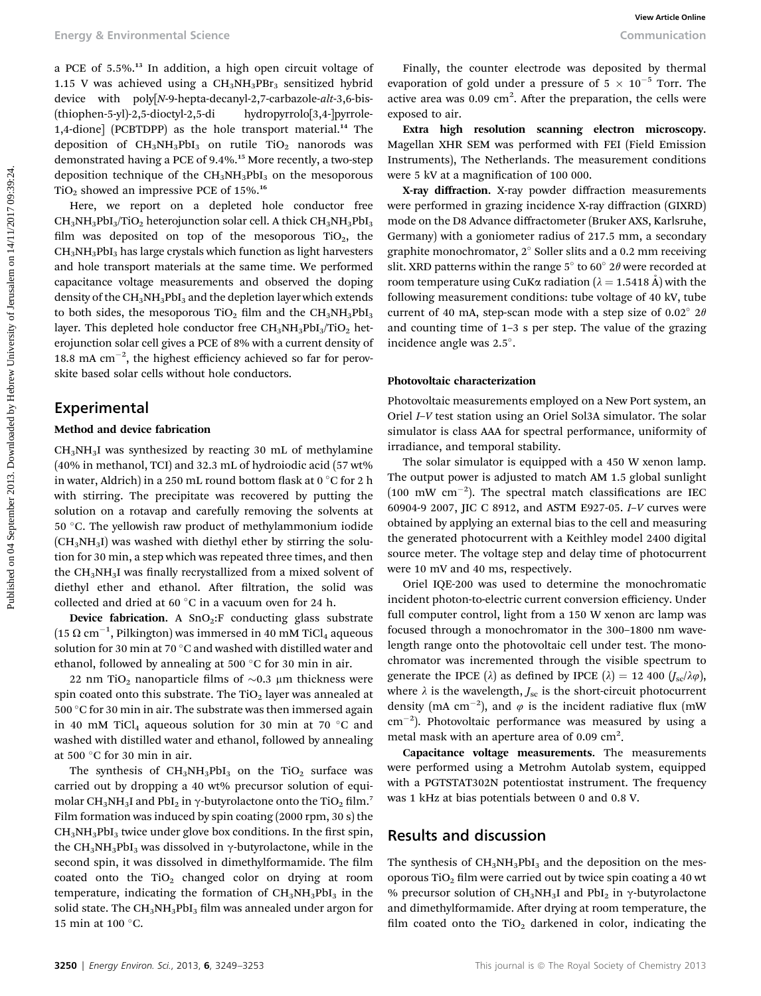a PCE of 5.5%.<sup>13</sup> In addition, a high open circuit voltage of 1.15 V was achieved using a  $CH_3NH_3PBr_3$  sensitized hybrid device with poly[N-9-hepta-decanyl-2,7-carbazole-alt-3,6-bis- (thiophen-5-yl)-2,5-dioctyl-2,5-di hydropyrrolo[3,4-]pyrrole-1,4-dione] (PCBTDPP) as the hole transport material.<sup>14</sup> The deposition of  $CH_3NH_3PbI_3$  on rutile  $TiO_2$  nanorods was demonstrated having a PCE of 9.4%.<sup>15</sup> More recently, a two-step deposition technique of the  $CH_3NH_3PbI_3$  on the mesoporous  $TiO<sub>2</sub>$  showed an impressive PCE of 15%.<sup>16</sup>

Here, we report on a depleted hole conductor free  $CH<sub>3</sub>NH<sub>3</sub>PbI<sub>3</sub>/TiO<sub>2</sub> heterojunction solar cell. A thick CH<sub>3</sub>NH<sub>3</sub>PbI<sub>3</sub>$ film was deposited on top of the mesoporous  $TiO<sub>2</sub>$ , the  $CH<sub>3</sub>NH<sub>3</sub>PbI<sub>3</sub>$  has large crystals which function as light harvesters and hole transport materials at the same time. We performed capacitance voltage measurements and observed the doping density of the CH<sub>3</sub>NH<sub>3</sub>PbI<sub>3</sub> and the depletion layer which extends to both sides, the mesoporous  $TiO<sub>2</sub>$  film and the  $CH<sub>3</sub>NH<sub>3</sub>PbI<sub>3</sub>$ layer. This depleted hole conductor free  $CH<sub>3</sub>NH<sub>3</sub>PbI<sub>3</sub>/TiO<sub>2</sub>$  heterojunction solar cell gives a PCE of 8% with a current density of 18.8 mA  $cm^{-2}$ , the highest efficiency achieved so far for perovskite based solar cells without hole conductors. Energy & Environmental Science<br>
3. Post in addition, a big upper circuit wide of  $\sim$  16/11/21) and contents are considered by the<br>
1.16. View on the environmental science of  $\sim$  16. View of the environmental science of

### Experimental

#### Method and device fabrication

 $CH<sub>3</sub>NH<sub>3</sub>I$  was synthesized by reacting 30 mL of methylamine (40% in methanol, TCI) and 32.3 mL of hydroiodic acid (57 wt% in water, Aldrich) in a 250 mL round bottom flask at  $0^{\circ}$ C for 2 h with stirring. The precipitate was recovered by putting the solution on a rotavap and carefully removing the solvents at 50 °C. The yellowish raw product of methylammonium iodide  $(CH<sub>3</sub>NH<sub>3</sub>I)$  was washed with diethyl ether by stirring the solution for 30 min, a step which was repeated three times, and then the CH<sub>3</sub>NH<sub>3</sub>I was finally recrystallized from a mixed solvent of diethyl ether and ethanol. After filtration, the solid was collected and dried at 60  $^{\circ}$ C in a vacuum oven for 24 h.

Device fabrication. A  $SnO<sub>2</sub>:F$  conducting glass substrate  $(15 \Omega \text{ cm}^{-1}, \text{Pilkington})$  was immersed in 40 mM TiCl<sub>4</sub> aqueous<br>colution for 20 min at 70 °C and weaked with distilled water and solution for 30 min at 70  $^{\circ} \mathrm{C}$  and washed with distilled water and ethanol, followed by annealing at 500  $\degree$ C for 30 min in air.

22 nm TiO<sub>2</sub> nanoparticle films of  $\sim$ 0.3 µm thickness were spin coated onto this substrate. The  $TiO<sub>2</sub>$  layer was annealed at 500  $\mathrm{^{\circ}C}$  for 30 min in air. The substrate was then immersed again in 40 mM TiCl<sub>4</sub> aqueous solution for 30 min at 70  $^{\circ}$ C and washed with distilled water and ethanol, followed by annealing at 500 °C for 30 min in air.

The synthesis of  $CH_3NH_3PbI_3$  on the TiO<sub>2</sub> surface was carried out by dropping a 40 wt% precursor solution of equimolar CH<sub>3</sub>NH<sub>3</sub>I and PbI<sub>2</sub> in  $\gamma$ -butyrolactone onto the TiO<sub>2</sub> film.<sup>7</sup> Film formation was induced by spin coating (2000 rpm, 30 s) the  $CH<sub>3</sub>NH<sub>3</sub>PbI<sub>3</sub>$  twice under glove box conditions. In the first spin, the CH<sub>3</sub>NH<sub>3</sub>PbI<sub>3</sub> was dissolved in  $\gamma$ -butyrolactone, while in the second spin, it was dissolved in dimethylformamide. The film coated onto the  $TiO<sub>2</sub>$  changed color on drying at room temperature, indicating the formation of  $CH<sub>3</sub>NH<sub>3</sub>PbI<sub>3</sub>$  in the solid state. The  $CH_3NH_3PbI_3$  film was annealed under argon for 15 min at 100 $\,^{\circ}$ C.

Finally, the counter electrode was deposited by thermal evaporation of gold under a pressure of  $5 \times 10^{-5}$  Torr. The active area was  $0.09$  cm<sup>2</sup>. After the preparation, the cells were exposed to air.

Extra high resolution scanning electron microscopy. Magellan XHR SEM was performed with FEI (Field Emission Instruments), The Netherlands. The measurement conditions were 5 kV at a magnification of 100 000.

X-ray diffraction. X-ray powder diffraction measurements were performed in grazing incidence X-ray diffraction (GIXRD) mode on the D8 Advance diffractometer (Bruker AXS, Karlsruhe, Germany) with a goniometer radius of 217.5 mm, a secondary graphite monochromator,  $2^{\circ}$  Soller slits and a 0.2 mm receiving slit. XRD patterns within the range  $5^{\circ}$  to  $60^{\circ}$  2 $\theta$  were recorded at room temperature using CuK $\alpha$  radiation ( $\lambda = 1.5418$  Å) with the following measurement conditions: tube voltage of 40 kV, tube current of 40 mA, step-scan mode with a step size of 0.02 $^{\circ}$  2 $\theta$ and counting time of 1–3 s per step. The value of the grazing incidence angle was 2.5°.

#### Photovoltaic characterization

Photovoltaic measurements employed on a New Port system, an Oriel I–V test station using an Oriel Sol3A simulator. The solar simulator is class AAA for spectral performance, uniformity of irradiance, and temporal stability.

The solar simulator is equipped with a 450 W xenon lamp. The output power is adjusted to match AM 1.5 global sunlight (100 mW  $\text{cm}^{-2}$ ). The spectral match classifications are IEC 60904-9 2007, JIC C 8912, and ASTM E927-05. I–V curves were obtained by applying an external bias to the cell and measuring the generated photocurrent with a Keithley model 2400 digital source meter. The voltage step and delay time of photocurrent were 10 mV and 40 ms, respectively.

Oriel IQE-200 was used to determine the monochromatic incident photon-to-electric current conversion efficiency. Under full computer control, light from a 150 W xenon arc lamp was focused through a monochromator in the 300–1800 nm wavelength range onto the photovoltaic cell under test. The monochromator was incremented through the visible spectrum to generate the IPCE ( $\lambda$ ) as defined by IPCE ( $\lambda$ ) = 12 400 ( $J_{\rm sc}/\lambda\varphi$ ), where  $\lambda$  is the wavelength,  $J_{\rm sc}$  is the short-circuit photocurrent density (mA cm<sup>-2</sup>), and  $\varphi$  is the incident radiative flux (mW  $\text{cm}^{-2}$ ). Photovoltaic performance was measured by using a metal mask with an aperture area of  $0.09 \text{ cm}^2$ .

Capacitance voltage measurements. The measurements were performed using a Metrohm Autolab system, equipped with a PGTSTAT302N potentiostat instrument. The frequency was 1 kHz at bias potentials between 0 and 0.8 V.

## Results and discussion

The synthesis of  $CH_3NH_3PbI_3$  and the deposition on the mesoporous TiO<sub>2</sub> film were carried out by twice spin coating a 40 wt % precursor solution of  $CH_3NH_3I$  and PbI<sub>2</sub> in  $\gamma$ -butyrolactone and dimethylformamide. After drying at room temperature, the film coated onto the  $TiO<sub>2</sub>$  darkened in color, indicating the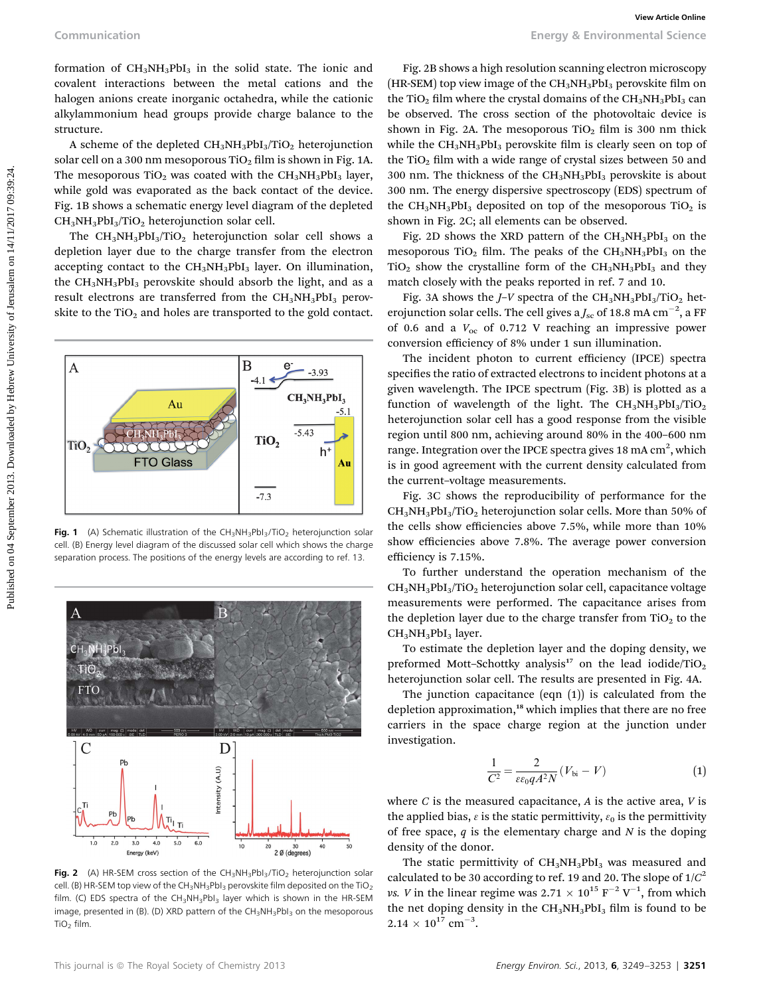formation of  $CH_3NH_3PbI_3$  in the solid state. The ionic and covalent interactions between the metal cations and the halogen anions create inorganic octahedra, while the cationic alkylammonium head groups provide charge balance to the structure.

A scheme of the depleted  $CH_3NH_3PbI_3/TiO_2$  heterojunction solar cell on a 300 nm mesoporous TiO<sub>2</sub> film is shown in Fig. 1A. The mesoporous TiO<sub>2</sub> was coated with the  $CH_3NH_3PbI_3$  layer, while gold was evaporated as the back contact of the device. Fig. 1B shows a schematic energy level diagram of the depleted  $CH<sub>3</sub>NH<sub>3</sub>PbI<sub>3</sub>/TiO<sub>2</sub> heterojunction solar cell.$ 

The  $CH_3NH_3PbI_3/TiO_2$  heterojunction solar cell shows a depletion layer due to the charge transfer from the electron accepting contact to the CH<sub>3</sub>NH<sub>3</sub>PbI<sub>3</sub> layer. On illumination, the  $CH<sub>3</sub>NH<sub>3</sub>PbI<sub>3</sub>$  perovskite should absorb the light, and as a result electrons are transferred from the CH<sub>3</sub>NH<sub>3</sub>PbI<sub>3</sub> perovskite to the  $TiO<sub>2</sub>$  and holes are transported to the gold contact.



Fig. 1 (A) Schematic illustration of the  $CH_3NH_3Pbl_3/TiO_2$  heterojunction solar cell. (B) Energy level diagram of the discussed solar cell which shows the charge separation process. The positions of the energy levels are according to ref. 13.



**Fig. 2** (A) HR-SEM cross section of the  $CH_3NH_3Pb1_3/TiO_2$  heterojunction solar cell. (B) HR-SEM top view of the CH<sub>3</sub>NH<sub>3</sub>PbI<sub>3</sub> perovskite film deposited on the TiO<sub>2</sub> film. (C) EDS spectra of the  $CH_3NH_3Pbl_3$  layer which is shown in the HR-SEM image, presented in (B). (D) XRD pattern of the CH<sub>3</sub>NH<sub>3</sub>PbI<sub>3</sub> on the mesoporous TiO2 film.

Fig. 2B shows a high resolution scanning electron microscopy (HR-SEM) top view image of the  $CH_3NH_3PbI_3$  perovskite film on the TiO<sub>2</sub> film where the crystal domains of the  $CH<sub>3</sub>NH<sub>3</sub>PbI<sub>3</sub>$  can be observed. The cross section of the photovoltaic device is shown in Fig. 2A. The mesoporous  $TiO<sub>2</sub>$  film is 300 nm thick while the  $CH_3NH_3PbI_3$  perovskite film is clearly seen on top of the TiO<sub>2</sub> film with a wide range of crystal sizes between 50 and 300 nm. The thickness of the  $CH<sub>3</sub>NH<sub>3</sub>PbI<sub>3</sub>$  perovskite is about 300 nm. The energy dispersive spectroscopy (EDS) spectrum of the  $CH_3NH_3PbI_3$  deposited on top of the mesoporous TiO<sub>2</sub> is shown in Fig. 2C; all elements can be observed.

Fig. 2D shows the XRD pattern of the  $CH_3NH_3PbI_3$  on the mesoporous TiO<sub>2</sub> film. The peaks of the  $CH<sub>3</sub>NH<sub>3</sub>PbI<sub>3</sub>$  on the  $TiO<sub>2</sub>$  show the crystalline form of the CH<sub>3</sub>NH<sub>3</sub>PbI<sub>3</sub> and they match closely with the peaks reported in ref. 7 and 10.

Fig. 3A shows the  $J-V$  spectra of the CH<sub>3</sub>NH<sub>3</sub>PbI<sub>3</sub>/TiO<sub>2</sub> heterojunction solar cells. The cell gives a  $J_\mathrm{sc}$  of 18.8 mA cm $^{-2}$ , a FF of 0.6 and a  $V_{\text{oc}}$  of 0.712 V reaching an impressive power conversion efficiency of 8% under 1 sun illumination.

The incident photon to current efficiency (IPCE) spectra specifies the ratio of extracted electrons to incident photons at a given wavelength. The IPCE spectrum (Fig. 3B) is plotted as a function of wavelength of the light. The  $CH_3NH_3PbI_3/TiO_2$ heterojunction solar cell has a good response from the visible region until 800 nm, achieving around 80% in the 400–600 nm range. Integration over the IPCE spectra gives 18 mA  $\mathrm{cm}^2$ , which is in good agreement with the current density calculated from the current–voltage measurements.

Fig. 3C shows the reproducibility of performance for the  $CH<sub>3</sub>NH<sub>3</sub>PbI<sub>3</sub>/TiO<sub>2</sub> heterojunction solar cells. More than 50% of$ the cells show efficiencies above 7.5%, while more than 10% show efficiencies above 7.8%. The average power conversion efficiency is 7.15%.

To further understand the operation mechanism of the  $CH<sub>3</sub>NH<sub>3</sub>PbI<sub>3</sub>/TiO<sub>2</sub> heterojunction solar cell, capacitance voltage$ measurements were performed. The capacitance arises from the depletion layer due to the charge transfer from  $TiO<sub>2</sub>$  to the CH<sub>3</sub>NH<sub>3</sub>PbI<sub>3</sub> layer.

To estimate the depletion layer and the doping density, we preformed Mott-Schottky analysis<sup>17</sup> on the lead iodide/TiO<sub>2</sub> heterojunction solar cell. The results are presented in Fig. 4A.

The junction capacitance (eqn  $(1)$ ) is calculated from the depletion approximation,<sup>18</sup> which implies that there are no free carriers in the space charge region at the junction under investigation.

$$
\frac{1}{C^2} = \frac{2}{\varepsilon \varepsilon_0 q A^2 N} (V_{\text{bi}} - V)
$$
 (1)

where  $C$  is the measured capacitance,  $A$  is the active area,  $V$  is the applied bias,  $\varepsilon$  is the static permittivity,  $\varepsilon_0$  is the permittivity of free space,  $q$  is the elementary charge and  $N$  is the doping density of the donor.

The static permittivity of  $CH_3NH_3PbI_3$  was measured and calculated to be 30 according to ref. 19 and 20. The slope of  $1/C<sup>2</sup>$ *vs. V* in the linear regime was  $2.71 \times 10^{15}$  F<sup>-2</sup> V<sup>-1</sup>, from which the net doping density in the  $CH_3NH_3PbI_3$  film is found to be  $2.14 \times 10^{17}$  cm<sup>-3</sup>.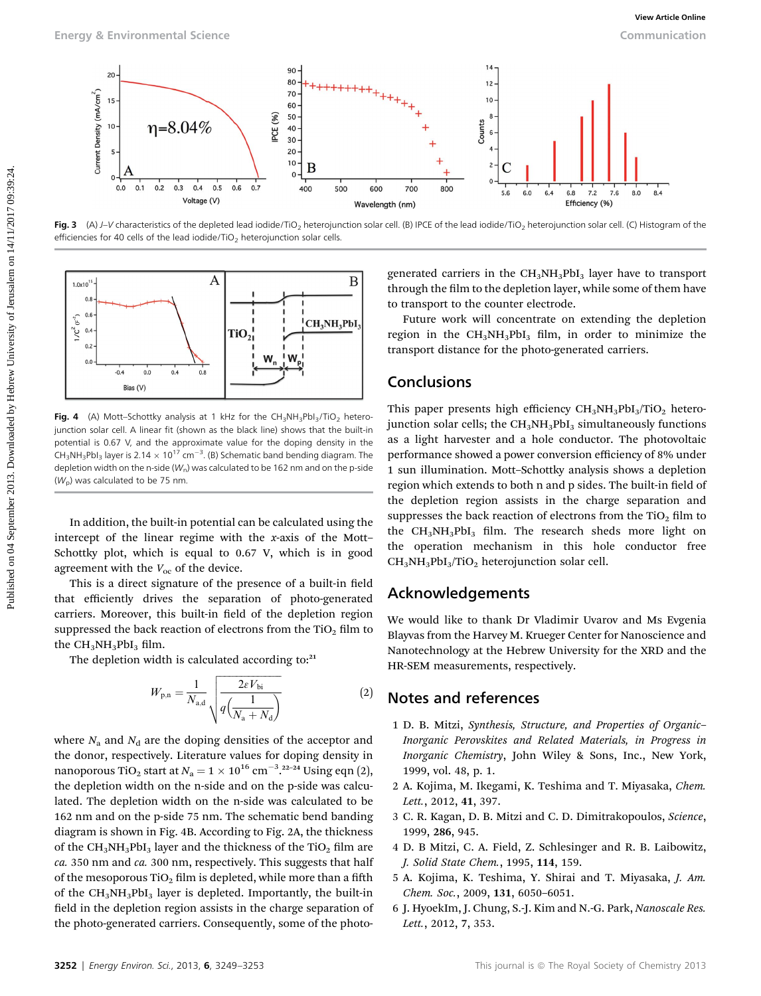

Fig. 3 (A) J-V characteristics of the depleted lead iodide/TiO<sub>2</sub> heterojunction solar cell. (B) IPCE of the lead iodide/TiO<sub>2</sub> heterojunction solar cell. (C) Histogram of the efficiencies for 40 cells of the lead iodide/TiO<sub>2</sub> heterojunction solar cells.



Fig. 4 (A) Mott-Schottky analysis at 1 kHz for the  $CH_3NH_3Pbl_3/TiO_2$  heterojunction solar cell. A linear fit (shown as the black line) shows that the built-in potential is 0.67 V, and the approximate value for the doping density in the  $CH_3NH_3Pbl_3$  layer is 2.14  $\times$  10<sup>17</sup> cm<sup>-3</sup>. (B) Schematic band bending diagram. The depletion width on the n-side ( $W_n$ ) was calculated to be 162 nm and on the p-side  $(W<sub>p</sub>)$  was calculated to be 75 nm.

In addition, the built-in potential can be calculated using the intercept of the linear regime with the x-axis of the Mott– Schottky plot, which is equal to 0.67 V, which is in good agreement with the  $V_{\text{oc}}$  of the device.

This is a direct signature of the presence of a built-in field that efficiently drives the separation of photo-generated carriers. Moreover, this built-in field of the depletion region suppressed the back reaction of electrons from the  $TiO<sub>2</sub>$  film to the  $CH_3NH_3PbI_3$  film.

The depletion width is calculated according to: $21$ 

$$
W_{p,n} = \frac{1}{N_{\rm a,d}} \sqrt{\frac{2eV_{\rm bi}}{q\left(\frac{1}{N_{\rm a} + N_{\rm d}}\right)}}\tag{2}
$$

where  $N_a$  and  $N_d$  are the doping densities of the acceptor and the donor, respectively. Literature values for doping density in nanoporous TiO<sub>2</sub> start at  $N_a = 1 \times 10^{16}$  cm<sup>-3</sup>.<sup>22-24</sup> Using eqn (2), the depletion width on the n-side and on the p-side was calculated. The depletion width on the n-side was calculated to be 162 nm and on the p-side 75 nm. The schematic bend banding diagram is shown in Fig. 4B. According to Fig. 2A, the thickness of the  $CH_3NH_3PbI_3$  layer and the thickness of the TiO<sub>2</sub> film are ca. 350 nm and ca. 300 nm, respectively. This suggests that half of the mesoporous TiO<sub>2</sub> film is depleted, while more than a fifth of the  $CH_3NH_3PbI_3$  layer is depleted. Importantly, the built-in field in the depletion region assists in the charge separation of the photo-generated carriers. Consequently, some of the photogenerated carriers in the  $CH_3NH_3PbI_3$  layer have to transport through the film to the depletion layer, while some of them have to transport to the counter electrode.

Future work will concentrate on extending the depletion region in the  $CH_3NH_3PbI_3$  film, in order to minimize the transport distance for the photo-generated carriers.

## Conclusions

This paper presents high efficiency  $CH_3NH_3PbI_3/TiO_2$  heterojunction solar cells; the  $CH<sub>3</sub>NH<sub>3</sub>PbI<sub>3</sub>$  simultaneously functions as a light harvester and a hole conductor. The photovoltaic performance showed a power conversion efficiency of 8% under 1 sun illumination. Mott–Schottky analysis shows a depletion region which extends to both n and p sides. The built-in field of the depletion region assists in the charge separation and suppresses the back reaction of electrons from the TiO<sub>2</sub> film to the  $CH_3NH_3PbI_3$  film. The research sheds more light on the operation mechanism in this hole conductor free  $CH<sub>3</sub>NH<sub>3</sub>PbI<sub>3</sub>/TiO<sub>2</sub> heterojunction solar cell.$ 

# Acknowledgements

We would like to thank Dr Vladimir Uvarov and Ms Evgenia Blayvas from the Harvey M. Krueger Center for Nanoscience and Nanotechnology at the Hebrew University for the XRD and the HR-SEM measurements, respectively.

# Notes and references

- 1 D. B. Mitzi, Synthesis, Structure, and Properties of Organic– Inorganic Perovskites and Related Materials, in Progress in Inorganic Chemistry, John Wiley & Sons, Inc., New York, 1999, vol. 48, p. 1.
- 2 A. Kojima, M. Ikegami, K. Teshima and T. Miyasaka, Chem. Lett., 2012, 41, 397.
- 3 C. R. Kagan, D. B. Mitzi and C. D. Dimitrakopoulos, Science, 1999, 286, 945.
- 4 D. B Mitzi, C. A. Field, Z. Schlesinger and R. B. Laibowitz, J. Solid State Chem., 1995, 114, 159.
- 5 A. Kojima, K. Teshima, Y. Shirai and T. Miyasaka, J. Am. Chem. Soc., 2009, 131, 6050–6051.
- 6 J. HyoekIm, J. Chung, S.-J. Kim and N.-G. Park, Nanoscale Res. Lett., 2012, 7, 353.